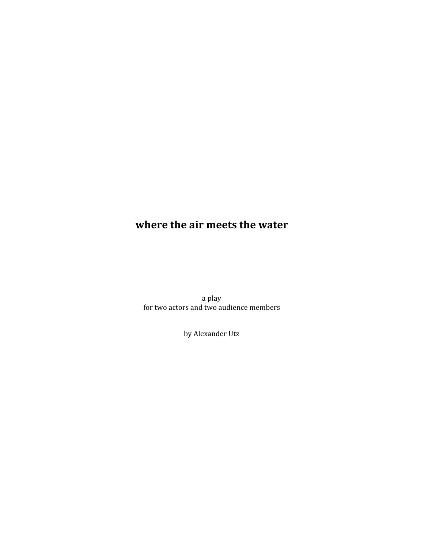# **Shareer Phere Phe air meets the water**

a play for two actors and two audience members

by Alexander Utz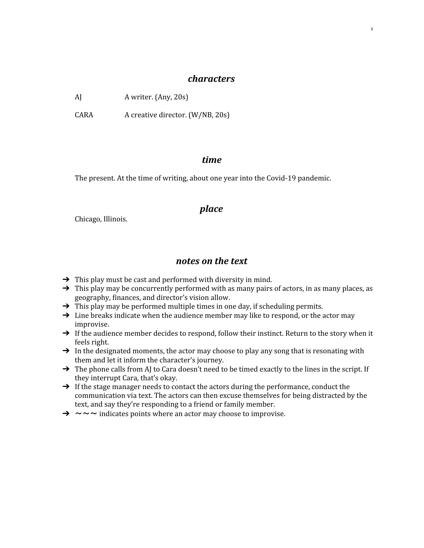#### *characters*

1

AJ A writer. (Any, 20s)

CARA A creative director. (W/NB, 20s)

### $time$

The present. At the time of writing, about one year into the Covid-19 pandemic.

### *Llace*

Chicago, Illinois.

# *notes on the text*

- $\rightarrow$  This play must be cast and performed with diversity in mind.
- $\rightarrow$  This play may be concurrently performed with as many pairs of actors, in as many places, as geography, finances, and director's vision allow.
- $\rightarrow$  This play may be performed multiple times in one day, if scheduling permits.
- $\rightarrow$  Line breaks indicate when the audience member may like to respond, or the actor may improvise.
- → If the audience member decides to respond, follow their instinct. Return to the story when it feels right.
- $\rightarrow$  In the designated moments, the actor may choose to play any song that is resonating with them and let it inform the character's journey.
- → The phone calls from AJ to Cara doesn't need to be timed exactly to the lines in the script. If they interrupt Cara, that's okay.
- $\rightarrow$  If the stage manager needs to contact the actors during the performance, conduct the communication via text. The actors can then excuse themselves for being distracted by the text, and say they're responding to a friend or family member.
- $\rightarrow \sim \sim \sim$  indicates points where an actor may choose to improvise.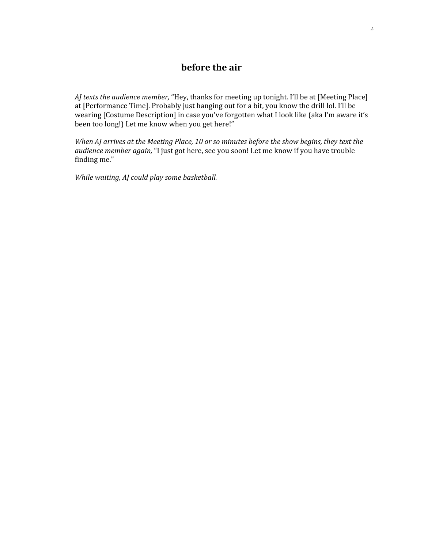# **before the** air

*AJ texts the audience member,* "Hey, thanks for meeting up tonight. I'll be at [Meeting Place] at [Performance Time]. Probably just hanging out for a bit, you know the drill lol. I'll be wearing [Costume Description] in case you've forgotten what I look like (aka I'm aware it's been too long!) Let me know when you get here!"

*When AJ* arrives at the Meeting Place, 10 or so minutes before the show begins, they text the *audience member again,* "I just got here, see you soon! Let me know if you have trouble finding me."

*While* waiting, AJ could play some basketball.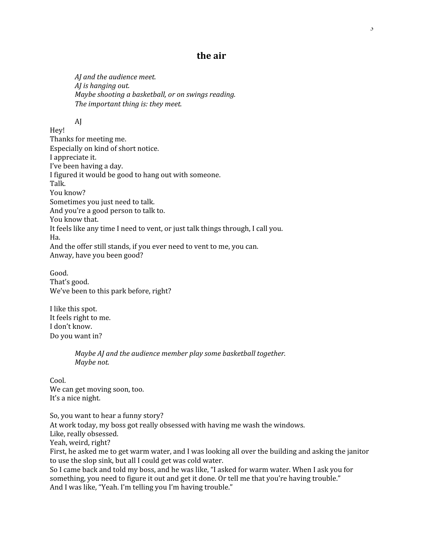# **Phe air**

*AI* and the audience meet. *AJ* is hanging out. *Maybe* shooting a basketball, or on swings reading. *The important thing is: they meet.* 

AJ

Hey! Thanks for meeting me. Especially on kind of short notice. I appreciate it. I've been having a day. I figured it would be good to hang out with someone. Talk. You know? Sometimes you just need to talk. And you're a good person to talk to. You know that. It feels like any time I need to vent, or just talk things through, I call you. Ha. And the offer still stands, if you ever need to vent to me, you can. Anway, have you been good?

Good. That's good. We've been to this park before, right?

I like this spot. It feels right to me. I don't know. Do you want in?

> *Maybe AJ* and the audience member play some basketball together. *Maybe* not.

Cool. We can get moving soon, too. It's a nice night.

So, you want to hear a funny story? At work today, my boss got really obsessed with having me wash the windows. Like, really obsessed. Yeah, weird, right? First, he asked me to get warm water, and I was looking all over the building and asking the janitor to use the slop sink, but all I could get was cold water. So I came back and told my boss, and he was like, "I asked for warm water. When I ask you for something, you need to figure it out and get it done. Or tell me that you're having trouble." And I was like, "Yeah. I'm telling you I'm having trouble."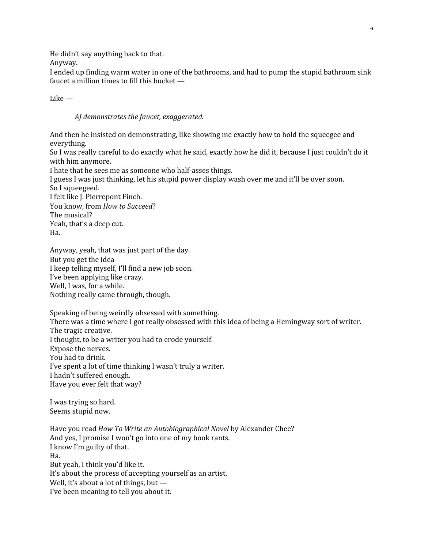He didn't say anything back to that.

Anyway.

I ended up finding warm water in one of the bathrooms, and had to pump the stupid bathroom sink faucet a million times to fill this bucket —

Like —

*AJ* demonstrates the faucet, exaggerated.

And then he insisted on demonstrating, like showing me exactly how to hold the squeegee and everything.

So I was really careful to do exactly what he said, exactly how he did it, because I just couldn't do it with him anymore.

I hate that he sees me as someone who half-asses things. I guess I was just thinking, let his stupid power display wash over me and it'll be over soon. So I squeegeed. I felt like J. Pierrepont Finch. You know, from *How to Succeed*? The musical? Yeah, that's a deep cut.

Ha.

Anyway, yeah, that was just part of the day. But you get the idea I keep telling myself, I'll find a new job soon. I've been applying like crazy. Well, I was, for a while. Nothing really came through, though.

Speaking of being weirdly obsessed with something. There was a time where I got really obsessed with this idea of being a Hemingway sort of writer.

The tragic creative. I thought, to be a writer you had to erode yourself. Expose the nerves. You had to drink. I've spent a lot of time thinking I wasn't truly a writer.

I hadn't suffered enough.

Have you ever felt that way?

I was trying so hard. Seems stupid now.

Have you read *How To Write an Autobiographical Novel* by Alexander Chee? And yes, I promise I won't go into one of my book rants. I know I'm guilty of that. Ha. But yeah, I think you'd like it. It's about the process of accepting yourself as an artist. Well, it's about a lot of things, but — I've been meaning to tell you about it.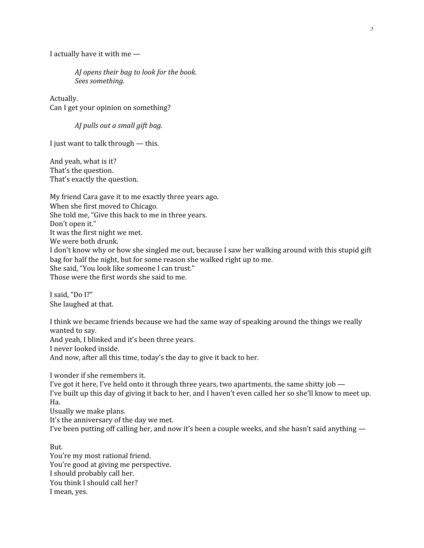I actually have it with me —

*AJ* opens their bag to look for the book. *Sees something*.

Actually. Can I get your opinion on something?

*AJ* pulls out a small gift bag.

I just want to talk through — this.

And yeah, what is it? That's the question. That's exactly the question.

My friend Cara gave it to me exactly three years ago. When she first moved to Chicago. She told me, "Give this back to me in three years. Don't open it." It was the first night we met. We were both drunk. I don't know why or how she singled me out, because I saw her walking around with this stupid gift bag for half the night, but for some reason she walked right up to me. She said, "You look like someone I can trust." Those were the first words she said to me.

I said, "Do I?" She laughed at that.

I think we became friends because we had the same way of speaking around the things we really wanted to say. And yeah, I blinked and it's been three years. I never looked inside. And now, after all this time, today's the day to give it back to her.

I wonder if she remembers it. I've got it here, I've held onto it through three years, two apartments, the same shitty job — I've built up this day of giving it back to her, and I haven't even called her so she'll know to meet up. Ha. Usually we make plans. It's the anniversary of the day we met. I've been putting off calling her, and now it's been a couple weeks, and she hasn't said anything —

But. You're my most rational friend. You're good at giving me perspective. I should probably call her. You think I should call her? I mean, yes.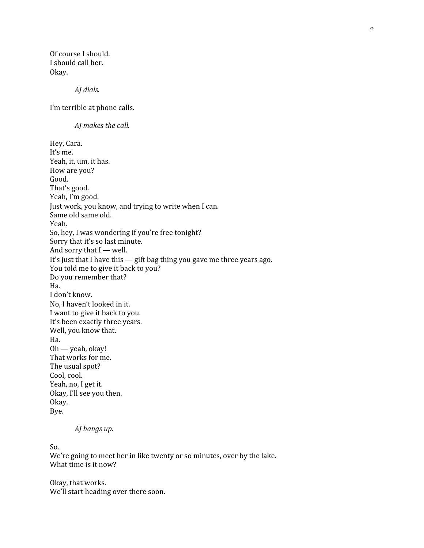Of course I should. I should call her. Okay.

*AJ* dials.

I'm terrible at phone calls.

*AJ* makes the call.

Hey, Cara. It's me. Yeah, it, um, it has. How are you? Good. That's good. Yeah, I'm good. Just work, you know, and trying to write when I can. Same old same old. Yeah. So, hey, I was wondering if you're free tonight? Sorry that it's so last minute. And sorry that I — well. It's just that I have this — gift bag thing you gave me three years ago. You told me to give it back to you? Do you remember that? Ha. I don't know. No, I haven't looked in it. I want to give it back to you. It's been exactly three years. Well, you know that. Ha. Oh — yeah, okay! That works for me. The usual spot? Cool, cool. Yeah, no, I get it. Okay, I'll see you then. Okay. Bye.

#### *AJ hangs up.*

So. We're going to meet her in like twenty or so minutes, over by the lake. What time is it now?

Okay, that works. We'll start heading over there soon.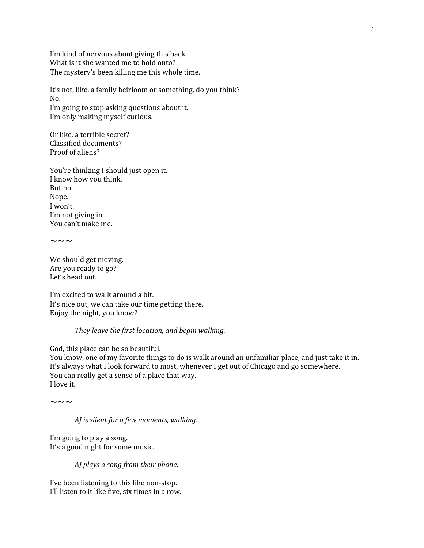I'm kind of nervous about giving this back. What is it she wanted me to hold onto? The mystery's been killing me this whole time.

It's not, like, a family heirloom or something, do you think? No. I'm going to stop asking questions about it. I'm only making myself curious.

Or like, a terrible secret? Classified documents? Proof of aliens?

You're thinking I should just open it. I know how you think. But no. Nope. I won't. I'm not giving in. You can't make me.

 $\sim\,\sim\,\sim$ 

We should get moving. Are you ready to go? Let's head out.

I'm excited to walk around a bit. It's nice out, we can take our time getting there. Enjoy the night, you know?

#### *They leave the first location, and begin walking.*

God, this place can be so beautiful.

You know, one of my favorite things to do is walk around an unfamiliar place, and just take it in. It's always what I look forward to most, whenever I get out of Chicago and go somewhere. You can really get a sense of a place that way. I love it.

 $\sim\,\sim\,\sim$ 

*AJ* is silent for a few moments, walking.

I'm going to play a song. It's a good night for some music.

*AJ* plays a song from their phone.

I've been listening to this like non-stop. I'll listen to it like five, six times in a row.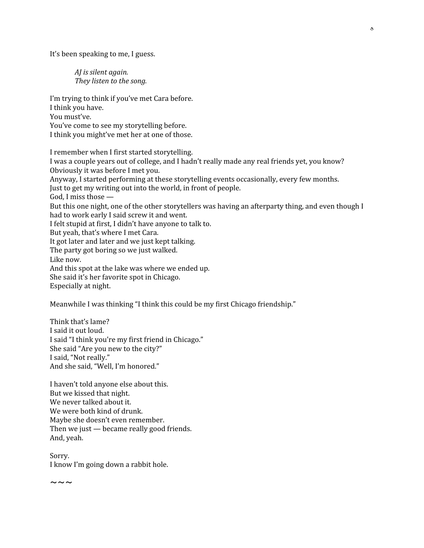It's been speaking to me, I guess.

*AJ* is silent again. *They listen to the song.* 

I'm trying to think if you've met Cara before. I think you have. You must've. You've come to see my storytelling before. I think you might've met her at one of those.

I remember when I first started storytelling. I was a couple years out of college, and I hadn't really made any real friends yet, you know? Obviously it was before I met you. Anyway, I started performing at these storytelling events occasionally, every few months. Just to get my writing out into the world, in front of people. God, I miss those — But this one night, one of the other storytellers was having an afterparty thing, and even though I had to work early I said screw it and went. I felt stupid at first, I didn't have anyone to talk to. But yeah, that's where I met Cara. It got later and later and we just kept talking. The party got boring so we just walked. Like now. And this spot at the lake was where we ended up. She said it's her favorite spot in Chicago. Especially at night.

Meanwhile I was thinking "I think this could be my first Chicago friendship."

Think that's lame? I said it out loud. I said "I think you're my first friend in Chicago." She said "Are you new to the city?" I said, "Not really." And she said, "Well, I'm honored."

I haven't told anyone else about this. But we kissed that night. We never talked about it. We were both kind of drunk. Maybe she doesn't even remember. Then we just — became really good friends. And, yeah.

Sorry. I know I'm going down a rabbit hole.

 $\sim\,\sim\,\sim$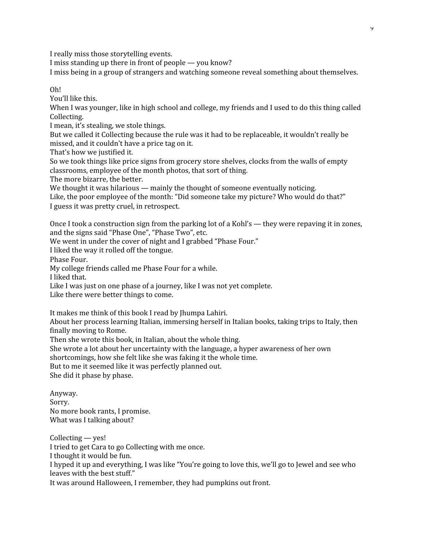I really miss those storytelling events.

I miss standing up there in front of people — you know?

I miss being in a group of strangers and watching someone reveal something about themselves.

Oh!

You'll like this.

When I was younger, like in high school and college, my friends and I used to do this thing called Collecting.

I mean, it's stealing, we stole things.

But we called it Collecting because the rule was it had to be replaceable, it wouldn't really be missed, and it couldn't have a price tag on it.

That's how we justified it.

So we took things like price signs from grocery store shelves, clocks from the walls of empty classrooms, employee of the month photos, that sort of thing.

The more bizarre, the better.

We thought it was hilarious — mainly the thought of someone eventually noticing.

Like, the poor employee of the month: "Did someone take my picture? Who would do that?" I guess it was pretty cruel, in retrospect.

Once I took a construction sign from the parking lot of a Kohl's — they were repaving it in zones, and the signs said "Phase One", "Phase Two", etc.

We went in under the cover of night and I grabbed "Phase Four."

I liked the way it rolled off the tongue.

Phase Four.

My college friends called me Phase Four for a while.

I liked that.

Like I was just on one phase of a journey, like I was not yet complete.

Like there were better things to come.

It makes me think of this book I read by Jhumpa Lahiri.

About her process learning Italian, immersing herself in Italian books, taking trips to Italy, then finally moving to Rome.

Then she wrote this book, in Italian, about the whole thing.

She wrote a lot about her uncertainty with the language, a hyper awareness of her own

shortcomings, how she felt like she was faking it the whole time.

But to me it seemed like it was perfectly planned out.

She did it phase by phase.

Anyway. Sorry. No more book rants, I promise. What was I talking about?

Collecting — yes! I tried to get Cara to go Collecting with me once. I thought it would be fun. I hyped it up and everything, I was like "You're going to love this, we'll go to Jewel and see who leaves with the best stuff." It was around Halloween, I remember, they had pumpkins out front.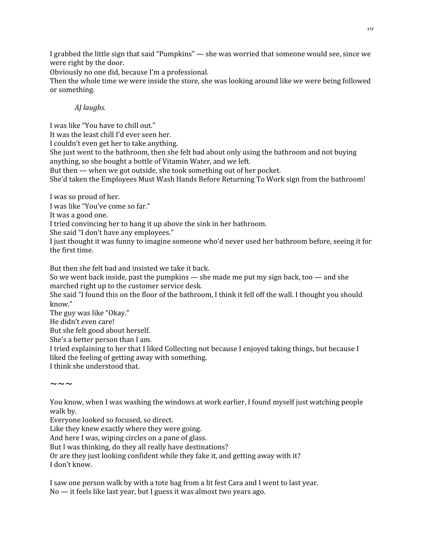I grabbed the little sign that said "Pumpkins" — she was worried that someone would see, since we were right by the door.

Obviously no one did, because I'm a professional.

Then the whole time we were inside the store, she was looking around like we were being followed or something.

## *AJ laughs*.

I was like "You have to chill out." It was the least chill I'd ever seen her. I couldn't even get her to take anything. She just went to the bathroom, then she felt bad about only using the bathroom and not buying anything, so she bought a bottle of Vitamin Water, and we left. But then — when we got outside, she took something out of her pocket. She'd taken the Employees Must Wash Hands Before Returning To Work sign from the bathroom!

I was so proud of her.

I was like "You've come so far."

It was a good one.

I tried convincing her to hang it up above the sink in her bathroom.

She said "I don't have any employees."

I just thought it was funny to imagine someone who'd never used her bathroom before, seeing it for the first time.

But then she felt bad and insisted we take it back.

So we went back inside, past the pumpkins — she made me put my sign back, too — and she marched right up to the customer service desk.

She said "I found this on the floor of the bathroom, I think it fell off the wall. I thought you should know."

The guy was like "Okay."

He didn't even care!

But she felt good about herself.

She's a better person than I am.

I tried explaining to her that I liked Collecting not because I enjoyed taking things, but because I liked the feeling of getting away with something.

I think she understood that.

 $\sim\,\sim\,\sim$ 

You know, when I was washing the windows at work earlier, I found myself just watching people walk by.

Everyone looked so focused, so direct.

Like they knew exactly where they were going.

And here I was, wiping circles on a pane of glass.

But I was thinking, do they all really have destinations?

Or are they just looking confident while they fake it, and getting away with it? I don't know.

I saw one person walk by with a tote bag from a lit fest Cara and I went to last year. No — it feels like last year, but I guess it was almost two years ago.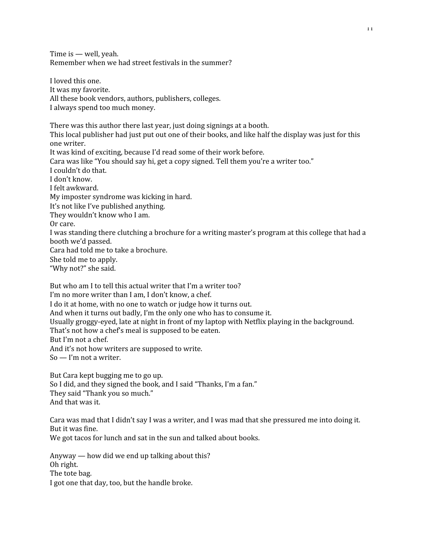Time is — well, yeah. Remember when we had street festivals in the summer?

I loved this one. It was my favorite. All these book vendors, authors, publishers, colleges. I always spend too much money.

There was this author there last year, just doing signings at a booth. This local publisher had just put out one of their books, and like half the display was just for this one writer. It was kind of exciting, because I'd read some of their work before. Cara was like "You should say hi, get a copy signed. Tell them you're a writer too." I couldn't do that. I don't know. I felt awkward. My imposter syndrome was kicking in hard. It's not like I've published anything. They wouldn't know who I am. Or care. I was standing there clutching a brochure for a writing master's program at this college that had a booth we'd passed. Cara had told me to take a brochure. She told me to apply. "Why not?" she said.

But who am I to tell this actual writer that I'm a writer too? I'm no more writer than I am, I don't know, a chef. I do it at home, with no one to watch or judge how it turns out. And when it turns out badly, I'm the only one who has to consume it. Usually groggy-eyed, late at night in front of my laptop with Netflix playing in the background. That's not how a chef's meal is supposed to be eaten. But I'm not a chef. And it's not how writers are supposed to write. So — I'm not a writer.

But Cara kept bugging me to go up. So I did, and they signed the book, and I said "Thanks, I'm a fan." They said "Thank you so much." And that was it.

Cara was mad that I didn't say I was a writer, and I was mad that she pressured me into doing it. But it was fine.

We got tacos for lunch and sat in the sun and talked about books.

Anyway — how did we end up talking about this? Oh right. The tote bag. I got one that day, too, but the handle broke.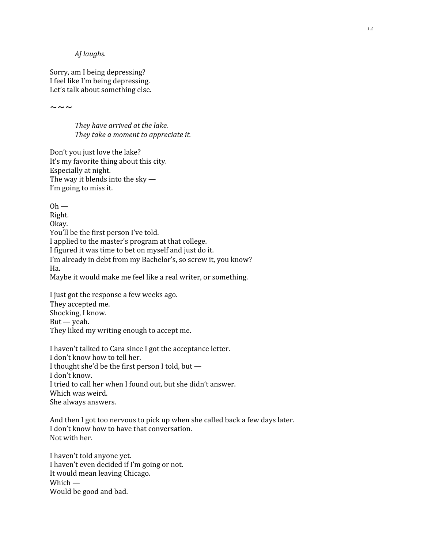*AJ laughs*.

Sorry, am I being depressing? I feel like I'm being depressing. Let's talk about something else.

 $\sim\sim\sim$ 

*They have arrived at the lake. Fhey take a moment to appreciate it.* 

Don't you just love the lake? It's my favorite thing about this city. Especially at night. The way it blends into the sky — I'm going to miss it.

 $Oh$  — Right. Okay. You'll be the first person I've told. I applied to the master's program at that college. I figured it was time to bet on myself and just do it. I'm already in debt from my Bachelor's, so screw it, you know? Ha. Maybe it would make me feel like a real writer, or something.

I just got the response a few weeks ago. They accepted me. Shocking, I know.  $But -$  yeah. They liked my writing enough to accept me.

I haven't talked to Cara since I got the acceptance letter. I don't know how to tell her. I thought she'd be the first person I told, but — I don't know. I tried to call her when I found out, but she didn't answer. Which was weird. She always answers.

And then I got too nervous to pick up when she called back a few days later. I don't know how to have that conversation. Not with her.

I haven't told anyone yet. I haven't even decided if I'm going or not. It would mean leaving Chicago. Which — Would be good and bad.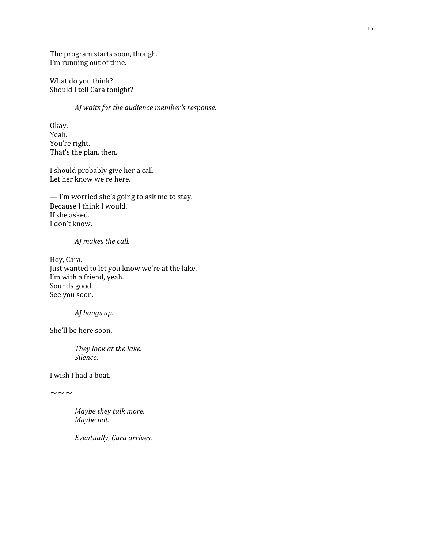The program starts soon, though. I'm running out of time.

What do you think? Should I tell Cara tonight?

*AJ* waits for the audience member's response.

Okay. Yeah. You're right. That's the plan, then.

I should probably give her a call. Let her know we're here.

— I'm worried she's going to ask me to stay. Because I think I would. If she asked. I don't know.

#### *AJ* makes the call.

Hey, Cara. Just wanted to let you know we're at the lake. I'm with a friend, yeah. Sounds good. See you soon.

*AJ hangs up.* 

She'll be here soon.

*They look at the lake. Silence*

I wish I had a boat.

 $\sim\sim\sim$ 

*Maybe they talk more. Maybe* not.

*Eventually, Cara arrives.*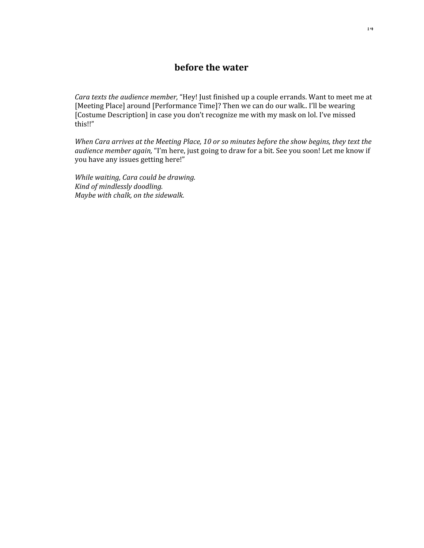# **before the water**

*Cara texts the audience member,* "Hey! Just finished up a couple errands. Want to meet me at [Meeting Place] around [Performance Time]? Then we can do our walk.. I'll be wearing [Costume Description] in case you don't recognize me with my mask on lol. I've missed this!!"

*When Cara arrives at the Meeting Place, 10 or so minutes before the show begins, they text the audience member again,* "I'm here, just going to draw for a bit. See you soon! Let me know if you have any issues getting here!"

*While waiting*, *Cara could be drawing. Kind of mindlessly doodling. Maybe* with chalk, on the sidewalk.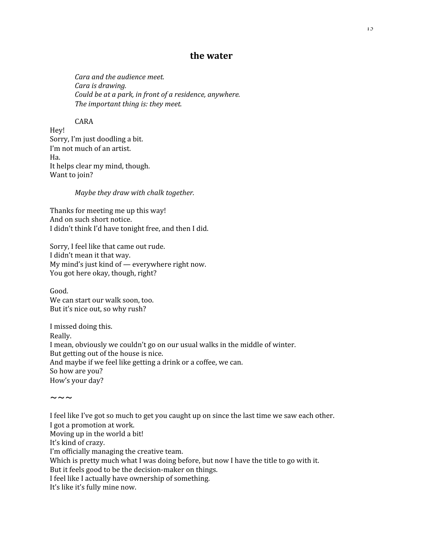# **the** water

*Cara and the audience meet. Cara is drawing. Could be at a park, in front of a residence, anywhere. The important thing is: they meet.* 

#### CARA

Hey! Sorry, I'm just doodling a bit. I'm not much of an artist. Ha. It helps clear my mind, though. Want to join?

*Maybe they draw with chalk together.* 

Thanks for meeting me up this way! And on such short notice. I didn't think I'd have tonight free, and then I did.

Sorry, I feel like that came out rude. I didn't mean it that way. My mind's just kind of — everywhere right now. You got here okay, though, right?

Good. We can start our walk soon, too. But it's nice out, so why rush?

 $\sim\,\sim\,\sim$ 

I missed doing this. Really. I mean, obviously we couldn't go on our usual walks in the middle of winter. But getting out of the house is nice. And maybe if we feel like getting a drink or a coffee, we can. So how are you? How's your day?

I feel like I've got so much to get you caught up on since the last time we saw each other. I got a promotion at work. Moving up in the world a bit! It's kind of crazy. I'm officially managing the creative team. Which is pretty much what I was doing before, but now I have the title to go with it. But it feels good to be the decision-maker on things. I feel like I actually have ownership of something. It's like it's fully mine now.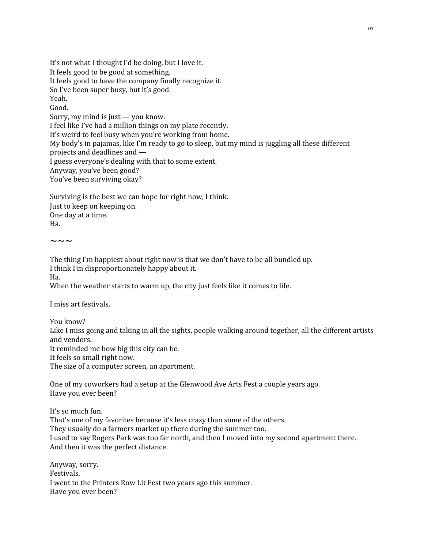It's not what I thought I'd be doing, but I love it. It feels good to be good at something. It feels good to have the company finally recognize it. So I've been super busy, but it's good. Yeah. Good. Sorry, my mind is just — you know. I feel like I've had a million things on my plate recently. It's weird to feel busy when you're working from home. My body's in pajamas, like I'm ready to go to sleep, but my mind is juggling all these different projects and deadlines and — I guess everyone's dealing with that to some extent. Anyway, you've been good? You've been surviving okay?

Surviving is the best we can hope for right now, I think. Just to keep on keeping on. One day at a time. Ha.

 $\sim\sim\sim$ 

The thing I'm happiest about right now is that we don't have to be all bundled up. I think I'm disproportionately happy about it. Ha.

When the weather starts to warm up, the city just feels like it comes to life.

I miss art festivals.

You know? Like I miss going and taking in all the sights, people walking around together, all the different artists and vendors.

It reminded me how big this city can be.

It feels so small right now.

The size of a computer screen, an apartment.

One of my coworkers had a setup at the Glenwood Ave Arts Fest a couple years ago. Have you ever been?

It's so much fun. That's one of my favorites because it's less crazy than some of the others. They usually do a farmers market up there during the summer too. I used to say Rogers Park was too far north, and then I moved into my second apartment there. And then it was the perfect distance.

Anyway, sorry. Festivals. I went to the Printers Row Lit Fest two years ago this summer. Have you ever been?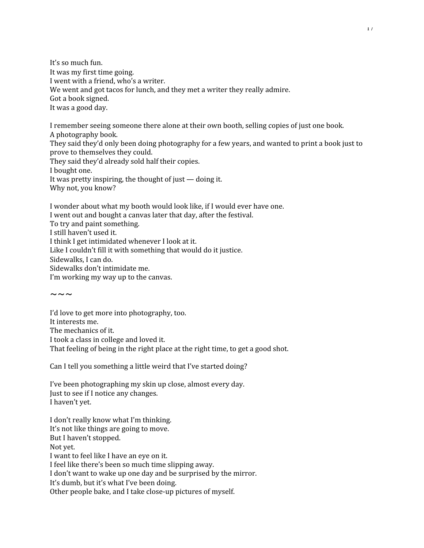It's so much fun. It was my first time going. I went with a friend, who's a writer. We went and got tacos for lunch, and they met a writer they really admire. Got a book signed. It was a good day.

I remember seeing someone there alone at their own booth, selling copies of just one book. A photography book. They said they'd only been doing photography for a few years, and wanted to print a book just to prove to themselves they could. They said they'd already sold half their copies. I bought one. It was pretty inspiring, the thought of just — doing it. Why not, you know?

I wonder about what my booth would look like, if I would ever have one. I went out and bought a canvas later that day, after the festival. To try and paint something. I still haven't used it. I think I get intimidated whenever I look at it. Like I couldn't fill it with something that would do it justice. Sidewalks, I can do. Sidewalks don't intimidate me. I'm working my way up to the canvas.

 $\sim\,\sim\,\sim$ 

I'd love to get more into photography, too. It interests me. The mechanics of it. I took a class in college and loved it. That feeling of being in the right place at the right time, to get a good shot.

Can I tell you something a little weird that I've started doing?

I've been photographing my skin up close, almost every day. Just to see if I notice any changes. I haven't yet.

I don't really know what I'm thinking. It's not like things are going to move. But I haven't stopped. Not yet. I want to feel like I have an eye on it. I feel like there's been so much time slipping away. I don't want to wake up one day and be surprised by the mirror. It's dumb, but it's what I've been doing. Other people bake, and I take close-up pictures of myself.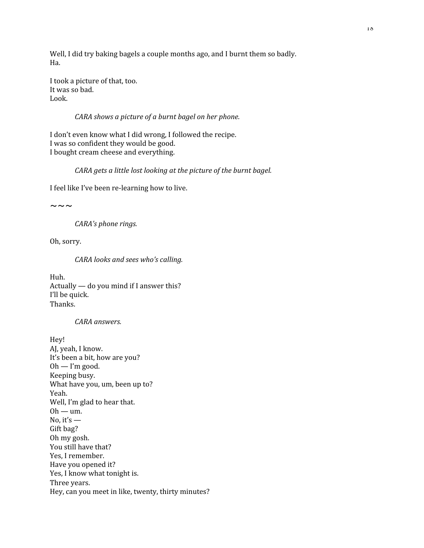Well, I did try baking bagels a couple months ago, and I burnt them so badly. Ha.

I took a picture of that, too. It was so bad. Look.

#### *CARA shows a picture of a burnt bagel on her phone*.

I don't even know what I did wrong, I followed the recipe. I was so confident they would be good. I bought cream cheese and everything.

#### *CARA* gets a little lost looking at the picture of the burnt bagel.

I feel like I've been re-learning how to live.

 $\sim\sim\sim$ 

*CARA's phone rings.* 

Oh, sorry.

#### *CARA looks and sees who's calling*.

Huh. Actually — do you mind if I answer this? I'll be quick. Thanks.

#### *CARA answers.*

Hey! AJ, yeah, I know. It's been a bit, how are you?  $Oh - I'm good.$ Keeping busy. What have you, um, been up to? Yeah. Well, I'm glad to hear that.  $Oh - um.$ No, it's  $-$ Gift bag? Oh my gosh. You still have that? Yes, I remember. Have you opened it? Yes, I know what tonight is. Three years. Hey, can you meet in like, twenty, thirty minutes?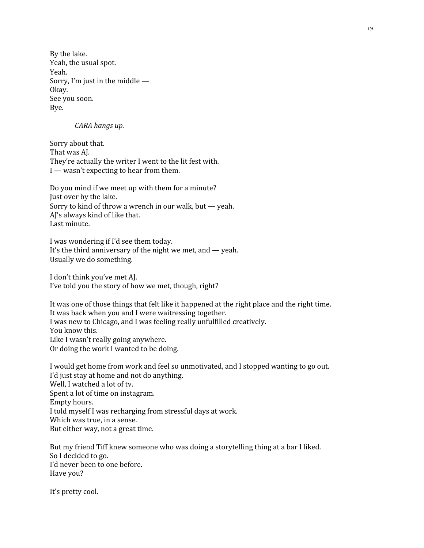By the lake. Yeah, the usual spot. Yeah. Sorry, I'm just in the middle — Okay. See you soon. Bye.

#### *CARA hangs up.*

Sorry about that. That was AJ. They're actually the writer I went to the lit fest with. I — wasn't expecting to hear from them.

Do you mind if we meet up with them for a minute? Just over by the lake. Sorry to kind of throw a wrench in our walk, but — yeah. AJ's always kind of like that. Last minute.

I was wondering if I'd see them today. It's the third anniversary of the night we met, and — yeah. Usually we do something.

I don't think you've met AJ. I've told you the story of how we met, though, right?

It was one of those things that felt like it happened at the right place and the right time. It was back when you and I were waitressing together. I was new to Chicago, and I was feeling really unfulfilled creatively. You know this. Like I wasn't really going anywhere. Or doing the work I wanted to be doing.

I would get home from work and feel so unmotivated, and I stopped wanting to go out. I'd just stay at home and not do anything. Well, I watched a lot of tv. Spent a lot of time on instagram. Empty hours. I told myself I was recharging from stressful days at work. Which was true, in a sense. But either way, not a great time.

But my friend Tiff knew someone who was doing a storytelling thing at a bar I liked. So I decided to go. I'd never been to one before. Have you?

It's pretty cool.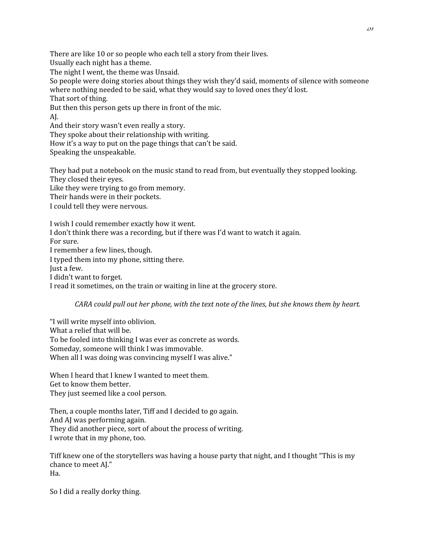There are like 10 or so people who each tell a story from their lives.

Usually each night has a theme.

The night I went, the theme was Unsaid.

So people were doing stories about things they wish they'd said, moments of silence with someone where nothing needed to be said, what they would say to loved ones they'd lost. That sort of thing.

But then this person gets up there in front of the mic.

AJ.

And their story wasn't even really a story.

They spoke about their relationship with writing.

How it's a way to put on the page things that can't be said.

Speaking the unspeakable.

They had put a notebook on the music stand to read from, but eventually they stopped looking. They closed their eyes.

Like they were trying to go from memory.

Their hands were in their pockets.

I could tell they were nervous.

I wish I could remember exactly how it went. I don't think there was a recording, but if there was I'd want to watch it again. For sure. I remember a few lines, though. I typed them into my phone, sitting there. Just a few. I didn't want to forget. I read it sometimes, on the train or waiting in line at the grocery store.

*CARA* could pull out her phone, with the text note of the lines, but she knows them by heart.

"I will write myself into oblivion. What a relief that will be. To be fooled into thinking I was ever as concrete as words. Someday, someone will think I was immovable. When all I was doing was convincing myself I was alive."

When I heard that I knew I wanted to meet them. Get to know them better. They just seemed like a cool person.

Then, a couple months later, Tiff and I decided to go again. And AJ was performing again. They did another piece, sort of about the process of writing. I wrote that in my phone, too.

Tiff knew one of the storytellers was having a house party that night, and I thought "This is my chance to meet AJ." Ha.

So I did a really dorky thing.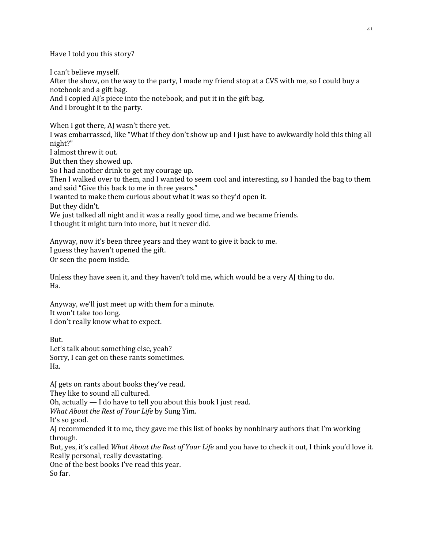Have I told you this story?

I can't believe myself. After the show, on the way to the party, I made my friend stop at a CVS with me, so I could buy a notebook and a gift bag. And I copied AJ's piece into the notebook, and put it in the gift bag. And I brought it to the party.

When I got there, AI wasn't there yet.

I was embarrassed, like "What if they don't show up and I just have to awkwardly hold this thing all night?"

I almost threw it out.

But then they showed up.

So I had another drink to get my courage up.

Then I walked over to them, and I wanted to seem cool and interesting, so I handed the bag to them and said "Give this back to me in three years."

I wanted to make them curious about what it was so they'd open it.

But they didn't.

We just talked all night and it was a really good time, and we became friends. I thought it might turn into more, but it never did.

Anyway, now it's been three years and they want to give it back to me. I guess they haven't opened the gift. Or seen the poem inside.

Unless they have seen it, and they haven't told me, which would be a very AJ thing to do. Ha.

Anyway, we'll just meet up with them for a minute. It won't take too long. I don't really know what to expect.

But. Let's talk about something else, yeah? Sorry, I can get on these rants sometimes. Ha.

AJ gets on rants about books they've read.

They like to sound all cultured.

Oh, actually — I do have to tell you about this book I just read.

*What About the Rest of Your Life* by Sung Yim.

It's so good.

AJ recommended it to me, they gave me this list of books by nonbinary authors that I'm working through.

But, yes, it's called *What About the Rest of Your Life* and you have to check it out, I think you'd love it. Really personal, really devastating.

One of the best books I've read this year.

So far.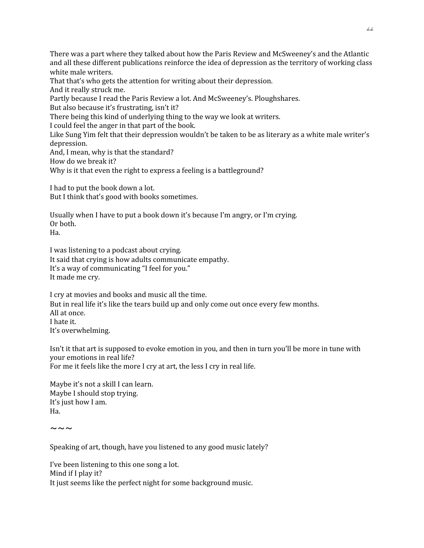There was a part where they talked about how the Paris Review and McSweeney's and the Atlantic and all these different publications reinforce the idea of depression as the territory of working class white male writers.

That that's who gets the attention for writing about their depression.

And it really struck me.

Partly because I read the Paris Review a lot. And McSweeney's. Ploughshares.

But also because it's frustrating, isn't it?

There being this kind of underlying thing to the way we look at writers.

I could feel the anger in that part of the book.

Like Sung Yim felt that their depression wouldn't be taken to be as literary as a white male writer's depression.

And, I mean, why is that the standard?

How do we break it?

Why is it that even the right to express a feeling is a battleground?

I had to put the book down a lot. But I think that's good with books sometimes.

Usually when I have to put a book down it's because I'm angry, or I'm crying. Or both.

Ha.

I was listening to a podcast about crying. It said that crying is how adults communicate empathy. It's a way of communicating "I feel for you." It made me cry.

I cry at movies and books and music all the time. But in real life it's like the tears build up and only come out once every few months. All at once. I hate it. It's overwhelming.

Isn't it that art is supposed to evoke emotion in you, and then in turn you'll be more in tune with your emotions in real life? For me it feels like the more I cry at art, the less I cry in real life.

Maybe it's not a skill I can learn. Maybe I should stop trying. It's just how I am. Ha.

 $\sim\sim\sim$ 

Speaking of art, though, have you listened to any good music lately?

I've been listening to this one song a lot. Mind if I play it? It just seems like the perfect night for some background music.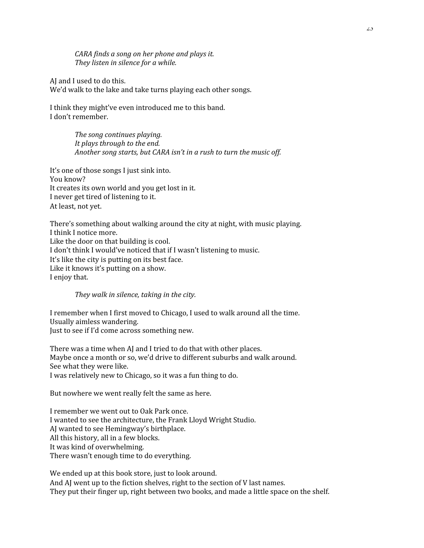*CARA finds a song on her phone and plays it. They listen in silence for a while.* 

AJ and I used to do this. We'd walk to the lake and take turns playing each other songs.

I think they might've even introduced me to this band. I don't remember.

> *The song continues playing. It plays through to the end. Another song starts, but CARA isn't in a rush to turn the music off.*

It's one of those songs I just sink into. You know? It creates its own world and you get lost in it. I never get tired of listening to it. At least, not yet.

There's something about walking around the city at night, with music playing. I think I notice more. Like the door on that building is cool. I don't think I would've noticed that if I wasn't listening to music. It's like the city is putting on its best face. Like it knows it's putting on a show. I enjoy that.

*They walk in silence*, *taking in the city*.

I remember when I first moved to Chicago, I used to walk around all the time. Usually aimless wandering. Just to see if I'd come across something new.

There was a time when AJ and I tried to do that with other places. Maybe once a month or so, we'd drive to different suburbs and walk around. See what they were like. I was relatively new to Chicago, so it was a fun thing to do.

But nowhere we went really felt the same as here.

I remember we went out to Oak Park once. I wanted to see the architecture, the Frank Lloyd Wright Studio. AJ wanted to see Hemingway's birthplace. All this history, all in a few blocks. It was kind of overwhelming. There wasn't enough time to do everything.

We ended up at this book store, just to look around. And AJ went up to the fiction shelves, right to the section of V last names. They put their finger up, right between two books, and made a little space on the shelf.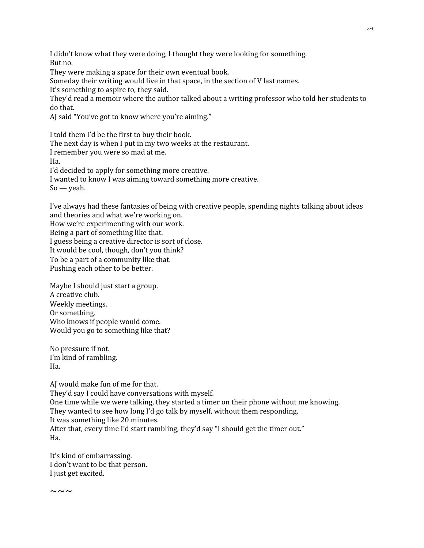I didn't know what they were doing, I thought they were looking for something. But no.

They were making a space for their own eventual book.

Someday their writing would live in that space, in the section of V last names.

It's something to aspire to, they said.

They'd read a memoir where the author talked about a writing professor who told her students to do that.

AJ said "You've got to know where you're aiming."

I told them I'd be the first to buy their book. The next day is when I put in my two weeks at the restaurant.

I remember you were so mad at me.

Ha.

I'd decided to apply for something more creative.

I wanted to know I was aiming toward something more creative.

So — yeah.

I've always had these fantasies of being with creative people, spending nights talking about ideas and theories and what we're working on.

How we're experimenting with our work. Being a part of something like that. I guess being a creative director is sort of close. It would be cool, though, don't you think? To be a part of a community like that.

Pushing each other to be better.

Maybe I should just start a group. A creative club. Weekly meetings. Or something. Who knows if people would come. Would you go to something like that?

No pressure if not. I'm kind of rambling. Ha.

AJ would make fun of me for that. They'd say I could have conversations with myself. One time while we were talking, they started a timer on their phone without me knowing. They wanted to see how long I'd go talk by myself, without them responding. It was something like 20 minutes. After that, every time I'd start rambling, they'd say "I should get the timer out." Ha.

It's kind of embarrassing. I don't want to be that person. I just get excited.

 $\sim\,\sim\,\sim$